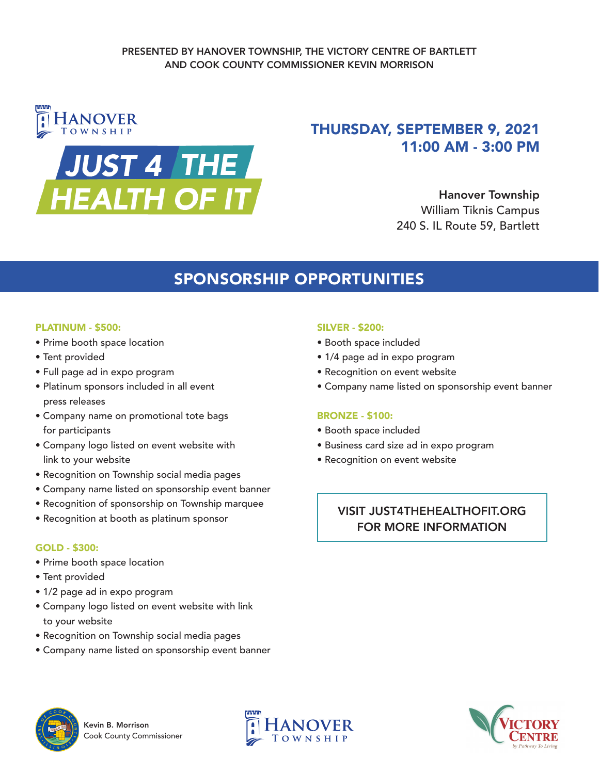

# THURSDAY, SEPTEMBER 9, 2021 11:00 AM - 3:00 PM

Hanover Township William Tiknis Campus 240 S. IL Route 59, Bartlett

# SPONSORSHIP OPPORTUNITIES

#### PLATINUM - \$500:

- Prime booth space location
- Tent provided
- Full page ad in expo program
- Platinum sponsors included in all event press releases
- Company name on promotional tote bags for participants
- Company logo listed on event website with link to your website
- Recognition on Township social media pages
- Company name listed on sponsorship event banner
- Recognition of sponsorship on Township marquee
- Recognition at booth as platinum sponsor

#### GOLD - \$300:

- Prime booth space location
- Tent provided
- 1/2 page ad in expo program
- Company logo listed on event website with link to your website
- Recognition on Township social media pages
- Company name listed on sponsorship event banner

#### SILVER - \$200:

- Booth space included
- 1/4 page ad in expo program
- Recognition on event website
- Company name listed on sponsorship event banner

#### BRONZE - \$100:

- Booth space included
- Business card size ad in expo program
- Recognition on event website

### VISIT JUST4THEHEALTHOFIT.ORG FOR MORE INFORMATION